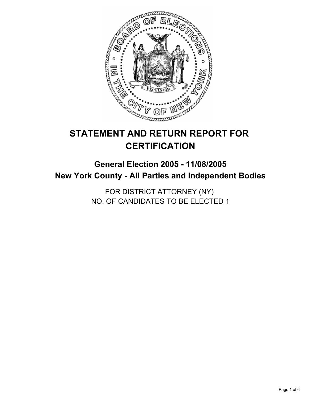

# **STATEMENT AND RETURN REPORT FOR CERTIFICATION**

# **General Election 2005 - 11/08/2005 New York County - All Parties and Independent Bodies**

FOR DISTRICT ATTORNEY (NY) NO. OF CANDIDATES TO BE ELECTED 1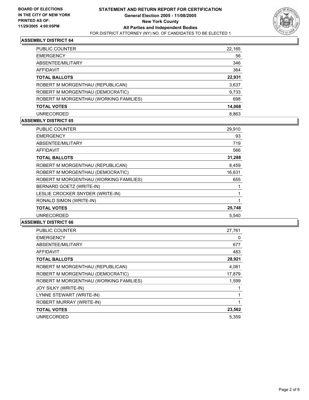

| PUBLIC COUNTER                         | 22,165 |
|----------------------------------------|--------|
| <b>EMERGENCY</b>                       | 56     |
| ABSENTEE/MILITARY                      | 346    |
| AFFIDAVIT                              | 364    |
| <b>TOTAL BALLOTS</b>                   | 22,931 |
| ROBERT M MORGENTHAU (REPUBLICAN)       | 3,637  |
| ROBERT M MORGENTHAU (DEMOCRATIC)       | 9,733  |
| ROBERT M MORGENTHAU (WORKING FAMILIES) | 698    |
| <b>TOTAL VOTES</b>                     | 14,068 |
| <b>UNRECORDED</b>                      | 8.863  |

#### **ASSEMBLY DISTRICT 65**

| <b>PUBLIC COUNTER</b>                  | 29,910 |  |
|----------------------------------------|--------|--|
| <b>EMERGENCY</b>                       | 93     |  |
| ABSENTEE/MILITARY                      | 719    |  |
| AFFIDAVIT                              | 566    |  |
| <b>TOTAL BALLOTS</b>                   | 31,288 |  |
| ROBERT M MORGENTHAU (REPUBLICAN)       | 8,459  |  |
| ROBERT M MORGENTHAU (DEMOCRATIC)       | 16,631 |  |
| ROBERT M MORGENTHAU (WORKING FAMILIES) | 655    |  |
| BERNARD GOETZ (WRITE-IN)               |        |  |
| LESLIE CROCKER SNYDER (WRITE-IN)       |        |  |
| RONALD SIMON (WRITE-IN)                |        |  |
| <b>TOTAL VOTES</b>                     | 25,748 |  |
| <b>UNRECORDED</b>                      | 5.540  |  |

| <b>PUBLIC COUNTER</b>                  | 27,761 |
|----------------------------------------|--------|
| <b>EMERGENCY</b>                       | 0      |
| ABSENTEE/MILITARY                      | 677    |
| <b>AFFIDAVIT</b>                       | 483    |
| <b>TOTAL BALLOTS</b>                   | 28,921 |
| ROBERT M MORGENTHAU (REPUBLICAN)       | 4,081  |
| ROBERT M MORGENTHAU (DEMOCRATIC)       | 17,879 |
| ROBERT M MORGENTHAU (WORKING FAMILIES) | 1,599  |
| JOY SILKY (WRITE-IN)                   |        |
| LYNNE STEWART (WRITE-IN)               |        |
| ROBERT MURRAY (WRITE-IN)               |        |
| <b>TOTAL VOTES</b>                     | 23,562 |
| <b>UNRECORDED</b>                      | 5.359  |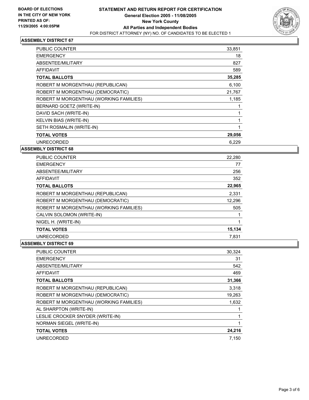

| PUBLIC COUNTER                         | 33,851 |
|----------------------------------------|--------|
| <b>EMERGENCY</b>                       | 18     |
| ABSENTEE/MILITARY                      | 827    |
| <b>AFFIDAVIT</b>                       | 589    |
| <b>TOTAL BALLOTS</b>                   | 35,285 |
| ROBERT M MORGENTHAU (REPUBLICAN)       | 6,100  |
| ROBERT M MORGENTHAU (DEMOCRATIC)       | 21,767 |
| ROBERT M MORGENTHAU (WORKING FAMILIES) | 1,185  |
| BERNARD GOETZ (WRITE-IN)               |        |
| DAVID SACH (WRITE-IN)                  |        |
| KELVIN BIAS (WRITE-IN)                 |        |
| SETH ROSMALIN (WRITE-IN)               |        |
| <b>TOTAL VOTES</b>                     | 29,056 |
| <b>UNRECORDED</b>                      | 6.229  |

**ASSEMBLY DISTRICT 68**

| <b>PUBLIC COUNTER</b>                  | 22,280 |  |
|----------------------------------------|--------|--|
| <b>EMERGENCY</b>                       | 77     |  |
| ABSENTEE/MILITARY                      | 256    |  |
| <b>AFFIDAVIT</b>                       | 352    |  |
| <b>TOTAL BALLOTS</b>                   | 22,965 |  |
| ROBERT M MORGENTHAU (REPUBLICAN)       | 2,331  |  |
| ROBERT M MORGENTHAU (DEMOCRATIC)       | 12,296 |  |
| ROBERT M MORGENTHAU (WORKING FAMILIES) | 505    |  |
| CALVIN SOLOMON (WRITE-IN)              |        |  |
| NIGEL H. (WRITE-IN)                    |        |  |
| <b>TOTAL VOTES</b>                     | 15,134 |  |
| <b>UNRECORDED</b>                      | 7.831  |  |

| <b>PUBLIC COUNTER</b>                  | 30,324 |
|----------------------------------------|--------|
| <b>EMERGENCY</b>                       | 31     |
| ABSENTEE/MILITARY                      | 542    |
| <b>AFFIDAVIT</b>                       | 469    |
| <b>TOTAL BALLOTS</b>                   | 31,366 |
| ROBERT M MORGENTHAU (REPUBLICAN)       | 3,318  |
| ROBERT M MORGENTHAU (DEMOCRATIC)       | 19,263 |
| ROBERT M MORGENTHAU (WORKING FAMILIES) | 1,632  |
| AL SHARPTON (WRITE-IN)                 |        |
| LESLIE CROCKER SNYDER (WRITE-IN)       |        |
| NORMAN SIEGEL (WRITE-IN)               |        |
| <b>TOTAL VOTES</b>                     | 24,216 |
| <b>UNRECORDED</b>                      | 7.150  |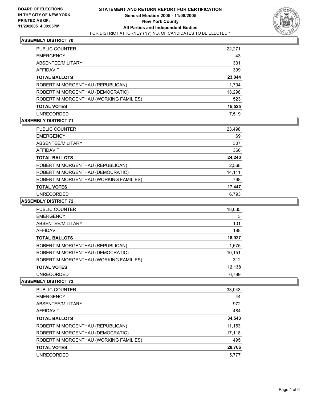

| PUBLIC COUNTER                         | 22,271 |
|----------------------------------------|--------|
| <b>EMERGENCY</b>                       | 43     |
| ABSENTEE/MILITARY                      | 331    |
| AFFIDAVIT                              | 399    |
| <b>TOTAL BALLOTS</b>                   | 23,044 |
| ROBERT M MORGENTHAU (REPUBLICAN)       | 1,704  |
| ROBERT M MORGENTHAU (DEMOCRATIC)       | 13,298 |
| ROBERT M MORGENTHAU (WORKING FAMILIES) | 523    |
| <b>TOTAL VOTES</b>                     | 15,525 |
| <b>UNRECORDED</b>                      | 7.519  |
|                                        |        |

### **ASSEMBLY DISTRICT 71**

| PUBLIC COUNTER                         | 23,498 |  |
|----------------------------------------|--------|--|
| <b>EMERGENCY</b>                       | 69     |  |
| ABSENTEE/MILITARY                      | 307    |  |
| AFFIDAVIT                              | 366    |  |
| <b>TOTAL BALLOTS</b>                   | 24,240 |  |
| ROBERT M MORGENTHAU (REPUBLICAN)       | 2,568  |  |
| ROBERT M MORGENTHAU (DEMOCRATIC)       | 14,111 |  |
| ROBERT M MORGENTHAU (WORKING FAMILIES) | 768    |  |
| <b>TOTAL VOTES</b>                     | 17,447 |  |
| <b>UNRECORDED</b>                      | 6.793  |  |

#### **ASSEMBLY DISTRICT 72**

| <b>PUBLIC COUNTER</b>                  | 18,635 |
|----------------------------------------|--------|
| <b>EMERGENCY</b>                       | 3      |
| ABSENTEE/MILITARY                      | 101    |
| AFFIDAVIT                              | 188    |
| <b>TOTAL BALLOTS</b>                   | 18,927 |
| ROBERT M MORGENTHAU (REPUBLICAN)       | 1,675  |
| ROBERT M MORGENTHAU (DEMOCRATIC)       | 10,151 |
| ROBERT M MORGENTHAU (WORKING FAMILIES) | 312    |
| <b>TOTAL VOTES</b>                     | 12,138 |
| <b>UNRECORDED</b>                      | 6.789  |
|                                        |        |

| <b>PUBLIC COUNTER</b>                  | 33,043 |
|----------------------------------------|--------|
| <b>EMERGENCY</b>                       | 44     |
| ABSENTEE/MILITARY                      | 972    |
| AFFIDAVIT                              | 484    |
| <b>TOTAL BALLOTS</b>                   | 34,543 |
| ROBERT M MORGENTHAU (REPUBLICAN)       | 11,153 |
| ROBERT M MORGENTHAU (DEMOCRATIC)       | 17,118 |
| ROBERT M MORGENTHAU (WORKING FAMILIES) | 495    |
| <b>TOTAL VOTES</b>                     | 28,766 |
| <b>UNRECORDED</b>                      | 5.777  |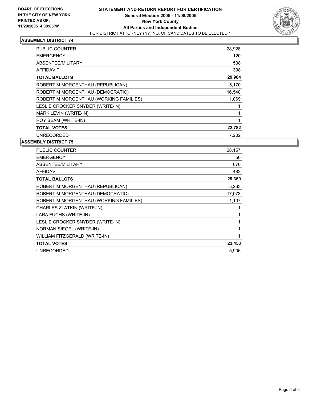

| <b>PUBLIC COUNTER</b>                  | 28,928 |
|----------------------------------------|--------|
| <b>EMERGENCY</b>                       | 120    |
| ABSENTEE/MILITARY                      | 538    |
| AFFIDAVIT                              | 398    |
| <b>TOTAL BALLOTS</b>                   | 29,984 |
| ROBERT M MORGENTHAU (REPUBLICAN)       | 5,170  |
| ROBERT M MORGENTHAU (DEMOCRATIC)       | 16,540 |
| ROBERT M MORGENTHAU (WORKING FAMILIES) | 1,069  |
| LESLIE CROCKER SNYDER (WRITE-IN)       |        |
| MARK LEVIN (WRITE-IN)                  |        |
| ROY BEAM (WRITE-IN)                    |        |
| <b>TOTAL VOTES</b>                     | 22,782 |
| <b>UNRECORDED</b>                      | 7.202  |

| <b>PUBLIC COUNTER</b>                  | 28,157 |
|----------------------------------------|--------|
| <b>EMERGENCY</b>                       | 50     |
| ABSENTEE/MILITARY                      | 670    |
| <b>AFFIDAVIT</b>                       | 482    |
| <b>TOTAL BALLOTS</b>                   | 29,359 |
| ROBERT M MORGENTHAU (REPUBLICAN)       | 5,263  |
| ROBERT M MORGENTHAU (DEMOCRATIC)       | 17,078 |
| ROBERT M MORGENTHAU (WORKING FAMILIES) | 1,107  |
| CHARLES ZLATKIN (WRITE-IN)             |        |
| LARA FUCHS (WRITE-IN)                  |        |
| LESLIE CROCKER SNYDER (WRITE-IN)       |        |
| NORMAN SIEGEL (WRITE-IN)               |        |
| WILLIAM FITZGERALD (WRITE-IN)          |        |
| <b>TOTAL VOTES</b>                     | 23,453 |
| <b>UNRECORDED</b>                      | 5,906  |
|                                        |        |